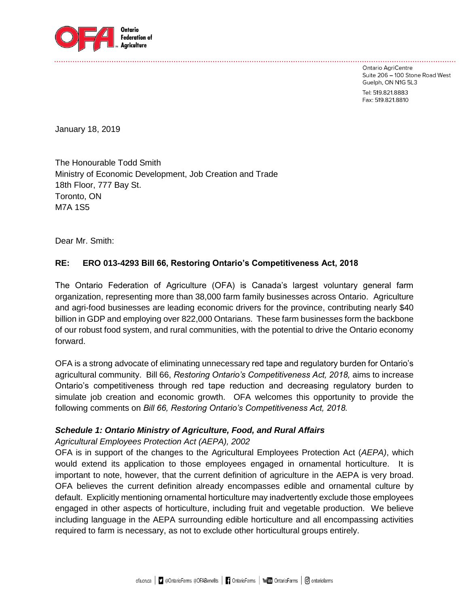

Ontario AgriCentre Suite 206 - 100 Stone Road West Guelph, ON N1G 5L3 Tel: 519.821.8883 Fax: 519.821.8810

January 18, 2019

The Honourable Todd Smith Ministry of Economic Development, Job Creation and Trade 18th Floor, 777 Bay St. Toronto, ON M7A 1S5

Dear Mr. Smith:

# **RE: ERO 013-4293 Bill 66, Restoring Ontario's Competitiveness Act, 2018**

The Ontario Federation of Agriculture (OFA) is Canada's largest voluntary general farm organization, representing more than 38,000 farm family businesses across Ontario. Agriculture and agri-food businesses are leading economic drivers for the province, contributing nearly \$40 billion in GDP and employing over 822,000 Ontarians. These farm businesses form the backbone of our robust food system, and rural communities, with the potential to drive the Ontario economy forward.

OFA is a strong advocate of eliminating unnecessary red tape and regulatory burden for Ontario's agricultural community. Bill 66, *Restoring Ontario's Competitiveness Act, 2018,* aims to increase Ontario's competitiveness through red tape reduction and decreasing regulatory burden to simulate job creation and economic growth. OFA welcomes this opportunity to provide the following comments on *Bill 66, Restoring Ontario's Competitiveness Act, 2018.*

# *Schedule 1: Ontario Ministry of Agriculture, Food, and Rural Affairs*

*Agricultural Employees Protection Act (AEPA), 2002*

OFA is in support of the changes to the Agricultural Employees Protection Act (*AEPA)*, which would extend its application to those employees engaged in ornamental horticulture. It is important to note, however, that the current definition of agriculture in the AEPA is very broad. OFA believes the current definition already encompasses edible and ornamental culture by default. Explicitly mentioning ornamental horticulture may inadvertently exclude those employees engaged in other aspects of horticulture, including fruit and vegetable production. We believe including language in the AEPA surrounding edible horticulture and all encompassing activities required to farm is necessary, as not to exclude other horticultural groups entirely.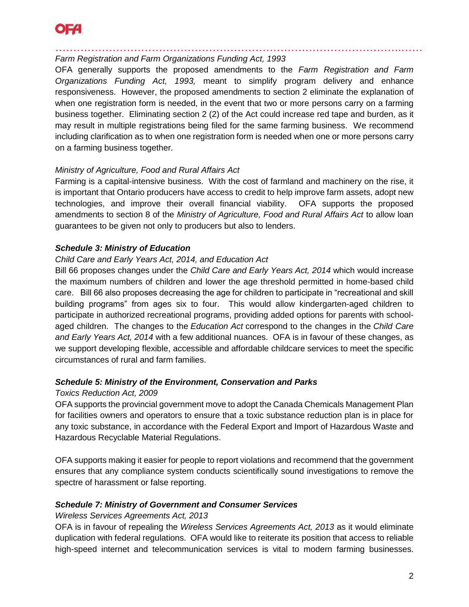

…………………………………………………………………………………….…… *Farm Registration and Farm Organizations Funding Act, 1993*

OFA generally supports the proposed amendments to the *Farm Registration and Farm Organizations Funding Act, 1993,* meant to simplify program delivery and enhance responsiveness. However, the proposed amendments to section 2 eliminate the explanation of when one registration form is needed, in the event that two or more persons carry on a farming business together. Eliminating section 2 (2) of the Act could increase red tape and burden, as it may result in multiple registrations being filed for the same farming business. We recommend including clarification as to when one registration form is needed when one or more persons carry on a farming business together.

# *Ministry of Agriculture, Food and Rural Affairs Act*

Farming is a capital-intensive business. With the cost of farmland and machinery on the rise, it is important that Ontario producers have access to credit to help improve farm assets, adopt new technologies, and improve their overall financial viability. OFA supports the proposed amendments to section 8 of the *Ministry of Agriculture, Food and Rural Affairs Act* to allow loan guarantees to be given not only to producers but also to lenders.

# *Schedule 3: Ministry of Education*

#### *Child Care and Early Years Act, 2014, and Education Act*

Bill 66 proposes changes under the *Child Care and Early Years Act, 2014* which would increase the maximum numbers of children and lower the age threshold permitted in home-based child care. Bill 66 also proposes decreasing the age for children to participate in "recreational and skill building programs" from ages six to four. This would allow kindergarten-aged children to participate in authorized recreational programs, providing added options for parents with schoolaged children. The changes to the *Education Act* correspond to the changes in the *Child Care and Early Years Act, 2014* with a few additional nuances. OFA is in favour of these changes, as we support developing flexible, accessible and affordable childcare services to meet the specific circumstances of rural and farm families.

# *Schedule 5: Ministry of the Environment, Conservation and Parks*

#### *Toxics Reduction Act, 2009*

OFA supports the provincial government move to adopt the Canada Chemicals Management Plan for facilities owners and operators to ensure that a toxic substance reduction plan is in place for any toxic substance, in accordance with the Federal Export and Import of Hazardous Waste and Hazardous Recyclable Material Regulations.

OFA supports making it easier for people to report violations and recommend that the government ensures that any compliance system conducts scientifically sound investigations to remove the spectre of harassment or false reporting.

# *Schedule 7: Ministry of Government and Consumer Services*

#### *Wireless Services Agreements Act, 2013*

OFA is in favour of repealing the *Wireless Services Agreements Act, 2013* as it would eliminate duplication with federal regulations. OFA would like to reiterate its position that access to reliable high-speed internet and telecommunication services is vital to modern farming businesses.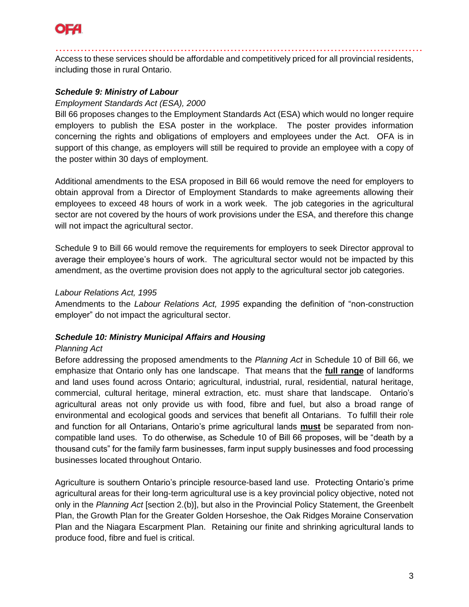

…………………………………………………………………………………….…… Access to these services should be affordable and competitively priced for all provincial residents, including those in rural Ontario.

# *Schedule 9: Ministry of Labour*

#### *Employment Standards Act (ESA), 2000*

Bill 66 proposes changes to the Employment Standards Act (ESA) which would no longer require employers to publish the ESA poster in the workplace. The poster provides information concerning the rights and obligations of employers and employees under the Act. OFA is in support of this change, as employers will still be required to provide an employee with a copy of the poster within 30 days of employment.

Additional amendments to the ESA proposed in Bill 66 would remove the need for employers to obtain approval from a Director of Employment Standards to make agreements allowing their employees to exceed 48 hours of work in a work week. The job categories in the agricultural sector are not covered by the hours of work provisions under the ESA, and therefore this change will not impact the agricultural sector.

Schedule 9 to Bill 66 would remove the requirements for employers to seek Director approval to average their employee's hours of work. The agricultural sector would not be impacted by this amendment, as the overtime provision does not apply to the agricultural sector job categories.

# *Labour Relations Act, 1995*

Amendments to the *Labour Relations Act, 1995* expanding the definition of "non-construction employer" do not impact the agricultural sector.

# *Schedule 10: Ministry Municipal Affairs and Housing*

#### *Planning Act*

Before addressing the proposed amendments to the *Planning Act* in Schedule 10 of Bill 66, we emphasize that Ontario only has one landscape. That means that the **full range** of landforms and land uses found across Ontario; agricultural, industrial, rural, residential, natural heritage, commercial, cultural heritage, mineral extraction, etc. must share that landscape. Ontario's agricultural areas not only provide us with food, fibre and fuel, but also a broad range of environmental and ecological goods and services that benefit all Ontarians. To fulfill their role and function for all Ontarians, Ontario's prime agricultural lands **must** be separated from noncompatible land uses. To do otherwise, as Schedule 10 of Bill 66 proposes, will be "death by a thousand cuts" for the family farm businesses, farm input supply businesses and food processing businesses located throughout Ontario.

Agriculture is southern Ontario's principle resource-based land use. Protecting Ontario's prime agricultural areas for their long-term agricultural use is a key provincial policy objective, noted not only in the *Planning Act* [section 2.(b)], but also in the Provincial Policy Statement, the Greenbelt Plan, the Growth Plan for the Greater Golden Horseshoe, the Oak Ridges Moraine Conservation Plan and the Niagara Escarpment Plan. Retaining our finite and shrinking agricultural lands to produce food, fibre and fuel is critical.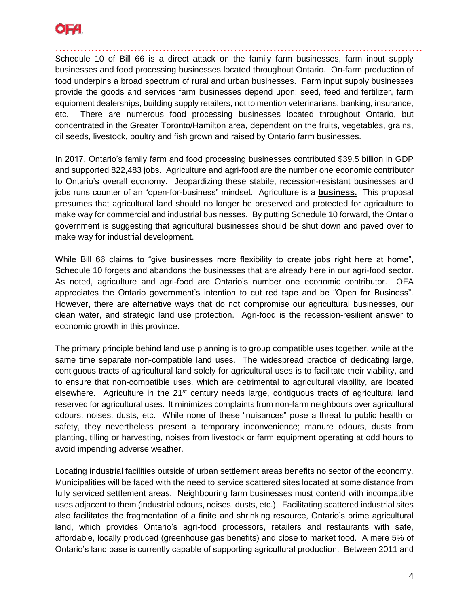

…………………………………………………………………………………….…… Schedule 10 of Bill 66 is a direct attack on the family farm businesses, farm input supply businesses and food processing businesses located throughout Ontario. On-farm production of food underpins a broad spectrum of rural and urban businesses. Farm input supply businesses provide the goods and services farm businesses depend upon; seed, feed and fertilizer, farm equipment dealerships, building supply retailers, not to mention veterinarians, banking, insurance, etc. There are numerous food processing businesses located throughout Ontario, but concentrated in the Greater Toronto/Hamilton area, dependent on the fruits, vegetables, grains, oil seeds, livestock, poultry and fish grown and raised by Ontario farm businesses.

In 2017, Ontario's family farm and food processing businesses contributed \$39.5 billion in GDP and supported 822,483 jobs. Agriculture and agri-food are the number one economic contributor to Ontario's overall economy. Jeopardizing these stabile, recession-resistant businesses and jobs runs counter of an "open-for-business" mindset. Agriculture is a **business.** This proposal presumes that agricultural land should no longer be preserved and protected for agriculture to make way for commercial and industrial businesses. By putting Schedule 10 forward, the Ontario government is suggesting that agricultural businesses should be shut down and paved over to make way for industrial development.

While Bill 66 claims to "give businesses more flexibility to create jobs right here at home", Schedule 10 forgets and abandons the businesses that are already here in our agri-food sector. As noted, agriculture and agri-food are Ontario's number one economic contributor. OFA appreciates the Ontario government's intention to cut red tape and be "Open for Business". However, there are alternative ways that do not compromise our agricultural businesses, our clean water, and strategic land use protection. Agri-food is the recession-resilient answer to economic growth in this province.

The primary principle behind land use planning is to group compatible uses together, while at the same time separate non-compatible land uses. The widespread practice of dedicating large, contiguous tracts of agricultural land solely for agricultural uses is to facilitate their viability, and to ensure that non-compatible uses, which are detrimental to agricultural viability, are located elsewhere. Agriculture in the  $21<sup>st</sup>$  century needs large, contiguous tracts of agricultural land reserved for agricultural uses. It minimizes complaints from non-farm neighbours over agricultural odours, noises, dusts, etc. While none of these "nuisances" pose a threat to public health or safety, they nevertheless present a temporary inconvenience; manure odours, dusts from planting, tilling or harvesting, noises from livestock or farm equipment operating at odd hours to avoid impending adverse weather.

Locating industrial facilities outside of urban settlement areas benefits no sector of the economy. Municipalities will be faced with the need to service scattered sites located at some distance from fully serviced settlement areas. Neighbouring farm businesses must contend with incompatible uses adjacent to them (industrial odours, noises, dusts, etc.). Facilitating scattered industrial sites also facilitates the fragmentation of a finite and shrinking resource, Ontario's prime agricultural land, which provides Ontario's agri-food processors, retailers and restaurants with safe, affordable, locally produced (greenhouse gas benefits) and close to market food. A mere 5% of Ontario's land base is currently capable of supporting agricultural production. Between 2011 and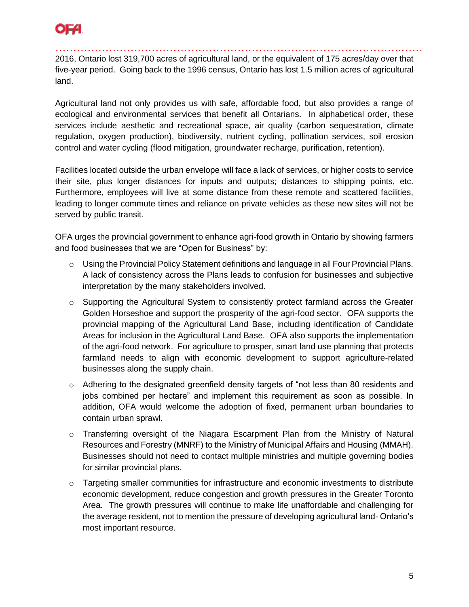

…………………………………………………………………………………….…… 2016, Ontario lost 319,700 acres of agricultural land, or the equivalent of 175 acres/day over that five-year period. Going back to the 1996 census, Ontario has lost 1.5 million acres of agricultural land.

Agricultural land not only provides us with safe, affordable food, but also provides a range of ecological and environmental services that benefit all Ontarians. In alphabetical order, these services include aesthetic and recreational space, air quality (carbon sequestration, climate regulation, oxygen production), biodiversity, nutrient cycling, pollination services, soil erosion control and water cycling (flood mitigation, groundwater recharge, purification, retention).

Facilities located outside the urban envelope will face a lack of services, or higher costs to service their site, plus longer distances for inputs and outputs; distances to shipping points, etc. Furthermore, employees will live at some distance from these remote and scattered facilities, leading to longer commute times and reliance on private vehicles as these new sites will not be served by public transit.

OFA urges the provincial government to enhance agri-food growth in Ontario by showing farmers and food businesses that we are "Open for Business" by:

- $\circ$  Using the Provincial Policy Statement definitions and language in all Four Provincial Plans. A lack of consistency across the Plans leads to confusion for businesses and subjective interpretation by the many stakeholders involved.
- $\circ$  Supporting the Agricultural System to consistently protect farmland across the Greater Golden Horseshoe and support the prosperity of the agri-food sector. OFA supports the provincial mapping of the Agricultural Land Base, including identification of Candidate Areas for inclusion in the Agricultural Land Base. OFA also supports the implementation of the agri-food network. For agriculture to prosper, smart land use planning that protects farmland needs to align with economic development to support agriculture-related businesses along the supply chain.
- $\circ$  Adhering to the designated greenfield density targets of "not less than 80 residents and jobs combined per hectare" and implement this requirement as soon as possible. In addition, OFA would welcome the adoption of fixed, permanent urban boundaries to contain urban sprawl.
- $\circ$  Transferring oversight of the Niagara Escarpment Plan from the Ministry of Natural Resources and Forestry (MNRF) to the Ministry of Municipal Affairs and Housing (MMAH). Businesses should not need to contact multiple ministries and multiple governing bodies for similar provincial plans.
- $\circ$  Targeting smaller communities for infrastructure and economic investments to distribute economic development, reduce congestion and growth pressures in the Greater Toronto Area. The growth pressures will continue to make life unaffordable and challenging for the average resident, not to mention the pressure of developing agricultural land- Ontario's most important resource.